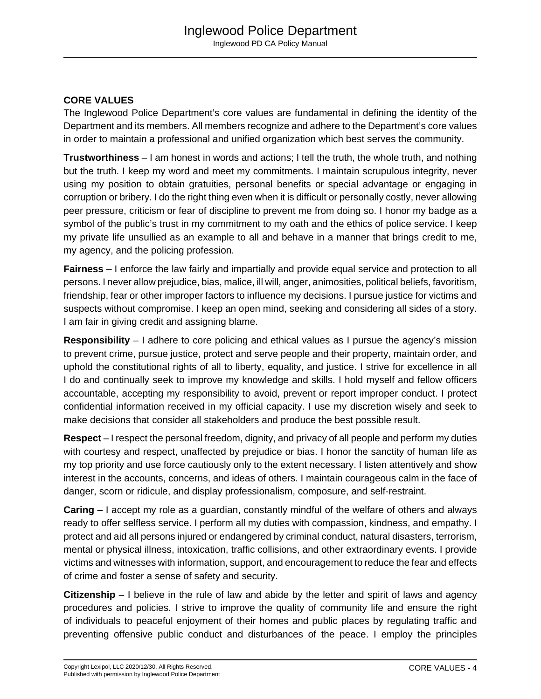## **CORE VALUES**

The Inglewood Police Department's core values are fundamental in defining the identity of the Department and its members. All members recognize and adhere to the Department's core values in order to maintain a professional and unified organization which best serves the community.

**Trustworthiness** – I am honest in words and actions; I tell the truth, the whole truth, and nothing but the truth. I keep my word and meet my commitments. I maintain scrupulous integrity, never using my position to obtain gratuities, personal benefits or special advantage or engaging in corruption or bribery. I do the right thing even when it is difficult or personally costly, never allowing peer pressure, criticism or fear of discipline to prevent me from doing so. I honor my badge as a symbol of the public's trust in my commitment to my oath and the ethics of police service. I keep my private life unsullied as an example to all and behave in a manner that brings credit to me, my agency, and the policing profession.

**Fairness** – I enforce the law fairly and impartially and provide equal service and protection to all persons. I never allow prejudice, bias, malice, ill will, anger, animosities, political beliefs, favoritism, friendship, fear or other improper factors to influence my decisions. I pursue justice for victims and suspects without compromise. I keep an open mind, seeking and considering all sides of a story. I am fair in giving credit and assigning blame.

**Responsibility** – I adhere to core policing and ethical values as I pursue the agency's mission to prevent crime, pursue justice, protect and serve people and their property, maintain order, and uphold the constitutional rights of all to liberty, equality, and justice. I strive for excellence in all I do and continually seek to improve my knowledge and skills. I hold myself and fellow officers accountable, accepting my responsibility to avoid, prevent or report improper conduct. I protect confidential information received in my official capacity. I use my discretion wisely and seek to make decisions that consider all stakeholders and produce the best possible result.

**Respect** – I respect the personal freedom, dignity, and privacy of all people and perform my duties with courtesy and respect, unaffected by prejudice or bias. I honor the sanctity of human life as my top priority and use force cautiously only to the extent necessary. I listen attentively and show interest in the accounts, concerns, and ideas of others. I maintain courageous calm in the face of danger, scorn or ridicule, and display professionalism, composure, and self-restraint.

**Caring** – I accept my role as a guardian, constantly mindful of the welfare of others and always ready to offer selfless service. I perform all my duties with compassion, kindness, and empathy. I protect and aid all persons injured or endangered by criminal conduct, natural disasters, terrorism, mental or physical illness, intoxication, traffic collisions, and other extraordinary events. I provide victims and witnesses with information, support, and encouragement to reduce the fear and effects of crime and foster a sense of safety and security.

**Citizenship** – I believe in the rule of law and abide by the letter and spirit of laws and agency procedures and policies. I strive to improve the quality of community life and ensure the right of individuals to peaceful enjoyment of their homes and public places by regulating traffic and preventing offensive public conduct and disturbances of the peace. I employ the principles